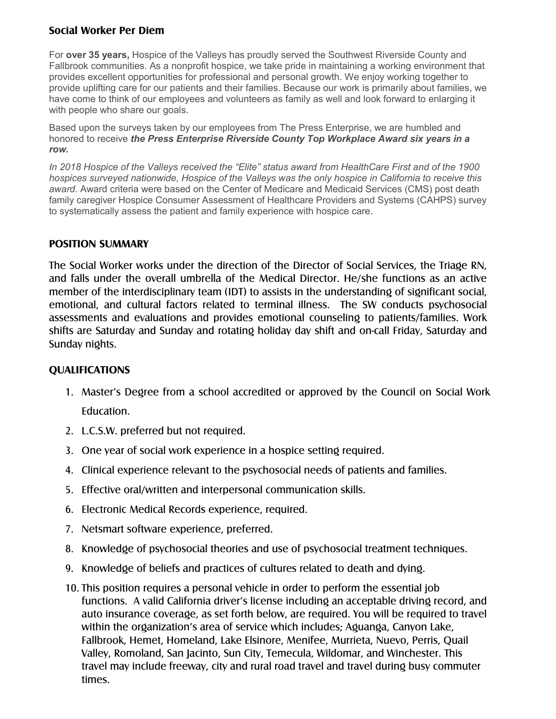## **Social Worker Per Diem**

For **over 35 years,** Hospice of the Valleys has proudly served the Southwest Riverside County and Fallbrook communities. As a nonprofit hospice, we take pride in maintaining a working environment that provides excellent opportunities for professional and personal growth. We enjoy working together to provide uplifting care for our patients and their families. Because our work is primarily about families, we have come to think of our employees and volunteers as family as well and look forward to enlarging it with people who share our goals.

Based upon the surveys taken by our employees from The Press Enterprise, we are humbled and honored to receive *the Press Enterprise Riverside County Top Workplace Award six years in a row.*

*In 2018 Hospice of the Valleys received the "Elite" status award from HealthCare First and of the 1900 hospices surveyed nationwide, Hospice of the Valleys was the only hospice in California to receive this award.* Award criteria were based on the Center of Medicare and Medicaid Services (CMS) post death family caregiver Hospice Consumer Assessment of Healthcare Providers and Systems (CAHPS) survey to systematically assess the patient and family experience with hospice care.

## **POSITION SUMMARY**

The Social Worker works under the direction of the Director of Social Services, the Triage RN, and falls under the overall umbrella of the Medical Director. He/she functions as an active member of the interdisciplinary team (IDT) to assists in the understanding of significant social, emotional, and cultural factors related to terminal illness. The SW conducts psychosocial assessments and evaluations and provides emotional counseling to patients/families. Work shifts are Saturday and Sunday and rotating holiday day shift and on-call Friday, Saturday and Sunday nights.

## **QUALIFICATIONS**

- 1. Master's Degree from a school accredited or approved by the Council on Social Work Education.
- 2. L.C.S.W. preferred but not required.
- 3. One year of social work experience in a hospice setting required.
- 4. Clinical experience relevant to the psychosocial needs of patients and families.
- 5. Effective oral/written and interpersonal communication skills.
- 6. Electronic Medical Records experience, required.
- 7. Netsmart software experience, preferred.
- 8. Knowledge of psychosocial theories and use of psychosocial treatment techniques.
- 9. Knowledge of beliefs and practices of cultures related to death and dying.
- 10. This position requires a personal vehicle in order to perform the essential job functions. A valid California driver's license including an acceptable driving record, and auto insurance coverage, as set forth below, are required. You will be required to travel within the organization's area of service which includes; Aguanga, Canyon Lake, Fallbrook, Hemet, Homeland, Lake Elsinore, Menifee, Murrieta, Nuevo, Perris, Quail Valley, Romoland, San Jacinto, Sun City, Temecula, Wildomar, and Winchester. This travel may include freeway, city and rural road travel and travel during busy commuter times.